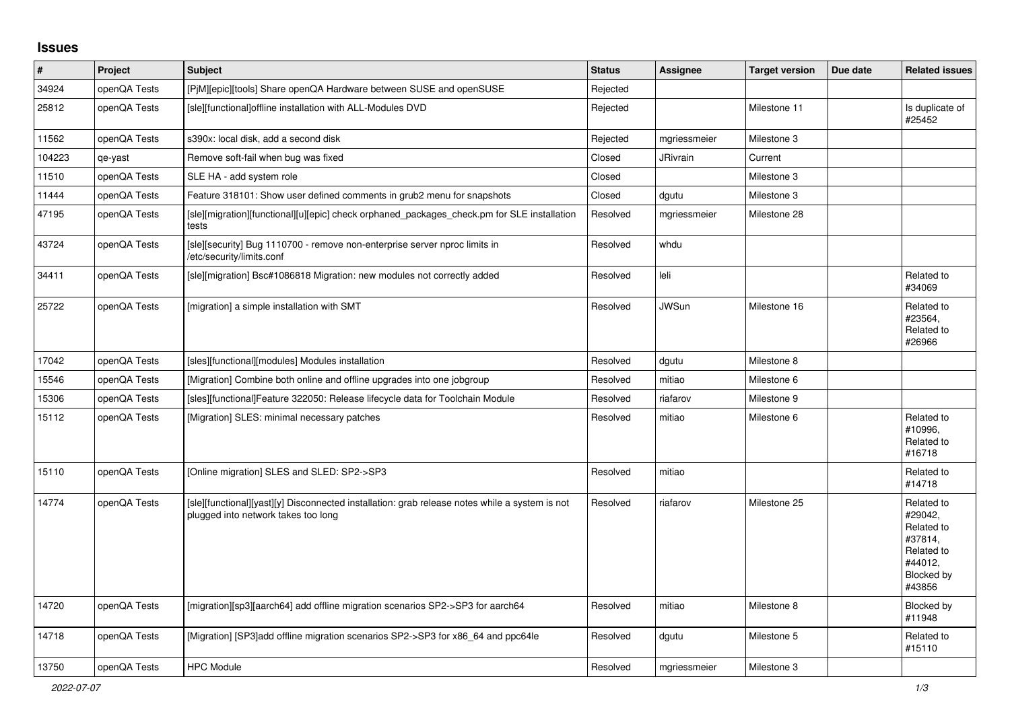## **Issues**

| $\vert$ # | Project      | <b>Subject</b>                                                                                                                        | <b>Status</b> | Assignee        | <b>Target version</b> | Due date | <b>Related issues</b>                                                                           |
|-----------|--------------|---------------------------------------------------------------------------------------------------------------------------------------|---------------|-----------------|-----------------------|----------|-------------------------------------------------------------------------------------------------|
| 34924     | openQA Tests | [PjM][epic][tools] Share openQA Hardware between SUSE and openSUSE                                                                    | Rejected      |                 |                       |          |                                                                                                 |
| 25812     | openQA Tests | [sle][functional]offline installation with ALL-Modules DVD                                                                            | Rejected      |                 | Milestone 11          |          | Is duplicate of<br>#25452                                                                       |
| 11562     | openQA Tests | s390x: local disk, add a second disk                                                                                                  | Rejected      | mgriessmeier    | Milestone 3           |          |                                                                                                 |
| 104223    | qe-yast      | Remove soft-fail when bug was fixed                                                                                                   | Closed        | <b>JRivrain</b> | Current               |          |                                                                                                 |
| 11510     | openQA Tests | SLE HA - add system role                                                                                                              | Closed        |                 | Milestone 3           |          |                                                                                                 |
| 11444     | openQA Tests | Feature 318101: Show user defined comments in grub2 menu for snapshots                                                                | Closed        | dgutu           | Milestone 3           |          |                                                                                                 |
| 47195     | openQA Tests | [sle][migration][functional][u][epic] check orphaned packages check.pm for SLE installation<br>tests                                  | Resolved      | mgriessmeier    | Milestone 28          |          |                                                                                                 |
| 43724     | openQA Tests | [sle][security] Bug 1110700 - remove non-enterprise server nproc limits in<br>/etc/security/limits.conf                               | Resolved      | whdu            |                       |          |                                                                                                 |
| 34411     | openQA Tests | [sle][migration] Bsc#1086818 Migration: new modules not correctly added                                                               | Resolved      | leli            |                       |          | Related to<br>#34069                                                                            |
| 25722     | openQA Tests | [migration] a simple installation with SMT                                                                                            | Resolved      | <b>JWSun</b>    | Milestone 16          |          | Related to<br>#23564,<br>Related to<br>#26966                                                   |
| 17042     | openQA Tests | [sles][functional][modules] Modules installation                                                                                      | Resolved      | dgutu           | Milestone 8           |          |                                                                                                 |
| 15546     | openQA Tests | [Migration] Combine both online and offline upgrades into one jobgroup                                                                | Resolved      | mitiao          | Milestone 6           |          |                                                                                                 |
| 15306     | openQA Tests | [sles][functional]Feature 322050: Release lifecycle data for Toolchain Module                                                         | Resolved      | riafarov        | Milestone 9           |          |                                                                                                 |
| 15112     | openQA Tests | [Migration] SLES: minimal necessary patches                                                                                           | Resolved      | mitiao          | Milestone 6           |          | Related to<br>#10996,<br>Related to<br>#16718                                                   |
| 15110     | openQA Tests | [Online migration] SLES and SLED: SP2->SP3                                                                                            | Resolved      | mitiao          |                       |          | Related to<br>#14718                                                                            |
| 14774     | openQA Tests | [sle][functional][yast][y] Disconnected installation: grab release notes while a system is not<br>plugged into network takes too long | Resolved      | riafarov        | Milestone 25          |          | Related to<br>#29042,<br>Related to<br>#37814,<br>Related to<br>#44012,<br>Blocked by<br>#43856 |
| 14720     | openQA Tests | [migration][sp3][aarch64] add offline migration scenarios SP2->SP3 for aarch64                                                        | Resolved      | mitiao          | Milestone 8           |          | Blocked by<br>#11948                                                                            |
| 14718     | openQA Tests | [Migration] [SP3]add offline migration scenarios SP2->SP3 for x86 64 and ppc64le                                                      | Resolved      | dgutu           | Milestone 5           |          | Related to<br>#15110                                                                            |
| 13750     | openQA Tests | <b>HPC Module</b>                                                                                                                     | Resolved      | mgriessmeier    | Milestone 3           |          |                                                                                                 |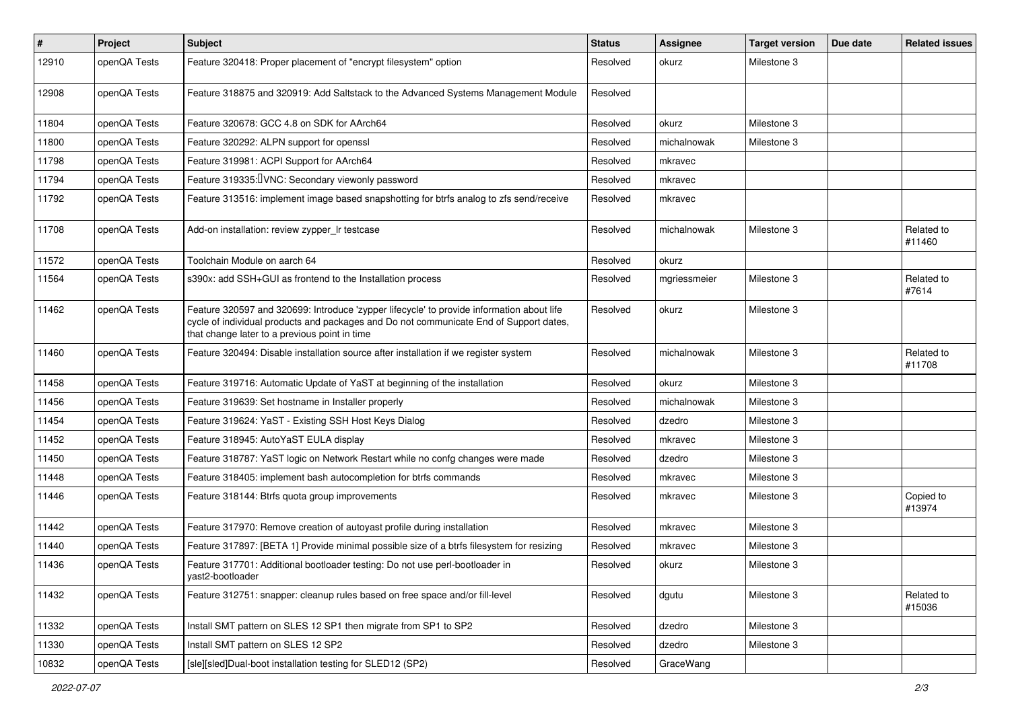| $\sharp$ | Project      | Subject                                                                                                                                                                                                                              | <b>Status</b> | Assignee     | <b>Target version</b> | Due date | <b>Related issues</b> |
|----------|--------------|--------------------------------------------------------------------------------------------------------------------------------------------------------------------------------------------------------------------------------------|---------------|--------------|-----------------------|----------|-----------------------|
| 12910    | openQA Tests | Feature 320418: Proper placement of "encrypt filesystem" option                                                                                                                                                                      | Resolved      | okurz        | Milestone 3           |          |                       |
| 12908    | openQA Tests | Feature 318875 and 320919: Add Saltstack to the Advanced Systems Management Module                                                                                                                                                   | Resolved      |              |                       |          |                       |
| 11804    | openQA Tests | Feature 320678: GCC 4.8 on SDK for AArch64                                                                                                                                                                                           | Resolved      | okurz        | Milestone 3           |          |                       |
| 11800    | openQA Tests | Feature 320292: ALPN support for openssl                                                                                                                                                                                             | Resolved      | michalnowak  | Milestone 3           |          |                       |
| 11798    | openQA Tests | Feature 319981: ACPI Support for AArch64                                                                                                                                                                                             | Resolved      | mkravec      |                       |          |                       |
| 11794    | openQA Tests | Feature 319335: IVNC: Secondary viewonly password                                                                                                                                                                                    | Resolved      | mkravec      |                       |          |                       |
| 11792    | openQA Tests | Feature 313516: implement image based snapshotting for btrfs analog to zfs send/receive                                                                                                                                              | Resolved      | mkravec      |                       |          |                       |
| 11708    | openQA Tests | Add-on installation: review zypper_Ir testcase                                                                                                                                                                                       | Resolved      | michalnowak  | Milestone 3           |          | Related to<br>#11460  |
| 11572    | openQA Tests | Toolchain Module on aarch 64                                                                                                                                                                                                         | Resolved      | okurz        |                       |          |                       |
| 11564    | openQA Tests | s390x: add SSH+GUI as frontend to the Installation process                                                                                                                                                                           | Resolved      | mgriessmeier | Milestone 3           |          | Related to<br>#7614   |
| 11462    | openQA Tests | Feature 320597 and 320699: Introduce 'zypper lifecycle' to provide information about life<br>cycle of individual products and packages and Do not communicate End of Support dates,<br>that change later to a previous point in time | Resolved      | okurz        | Milestone 3           |          |                       |
| 11460    | openQA Tests | Feature 320494: Disable installation source after installation if we register system                                                                                                                                                 | Resolved      | michalnowak  | Milestone 3           |          | Related to<br>#11708  |
| 11458    | openQA Tests | Feature 319716: Automatic Update of YaST at beginning of the installation                                                                                                                                                            | Resolved      | okurz        | Milestone 3           |          |                       |
| 11456    | openQA Tests | Feature 319639: Set hostname in Installer properly                                                                                                                                                                                   | Resolved      | michalnowak  | Milestone 3           |          |                       |
| 11454    | openQA Tests | Feature 319624: YaST - Existing SSH Host Keys Dialog                                                                                                                                                                                 | Resolved      | dzedro       | Milestone 3           |          |                       |
| 11452    | openQA Tests | Feature 318945: AutoYaST EULA display                                                                                                                                                                                                | Resolved      | mkravec      | Milestone 3           |          |                       |
| 11450    | openQA Tests | Feature 318787: YaST logic on Network Restart while no confg changes were made                                                                                                                                                       | Resolved      | dzedro       | Milestone 3           |          |                       |
| 11448    | openQA Tests | Feature 318405: implement bash autocompletion for btrfs commands                                                                                                                                                                     | Resolved      | mkravec      | Milestone 3           |          |                       |
| 11446    | openQA Tests | Feature 318144: Btrfs quota group improvements                                                                                                                                                                                       | Resolved      | mkravec      | Milestone 3           |          | Copied to<br>#13974   |
| 11442    | openQA Tests | Feature 317970: Remove creation of autoyast profile during installation                                                                                                                                                              | Resolved      | mkravec      | Milestone 3           |          |                       |
| 11440    | openQA Tests | Feature 317897: [BETA 1] Provide minimal possible size of a btrfs filesystem for resizing                                                                                                                                            | Resolved      | mkravec      | Milestone 3           |          |                       |
| 11436    | openQA Tests | Feature 317701: Additional bootloader testing: Do not use perl-bootloader in<br>yast2-bootloader                                                                                                                                     | Resolved      | okurz        | Milestone 3           |          |                       |
| 11432    | openQA Tests | Feature 312751: snapper: cleanup rules based on free space and/or fill-level                                                                                                                                                         | Resolved      | dgutu        | Milestone 3           |          | Related to<br>#15036  |
| 11332    | openQA Tests | Install SMT pattern on SLES 12 SP1 then migrate from SP1 to SP2                                                                                                                                                                      | Resolved      | dzedro       | Milestone 3           |          |                       |
| 11330    | openQA Tests | Install SMT pattern on SLES 12 SP2                                                                                                                                                                                                   | Resolved      | dzedro       | Milestone 3           |          |                       |
| 10832    | openQA Tests | [sle][sled]Dual-boot installation testing for SLED12 (SP2)                                                                                                                                                                           | Resolved      | GraceWang    |                       |          |                       |